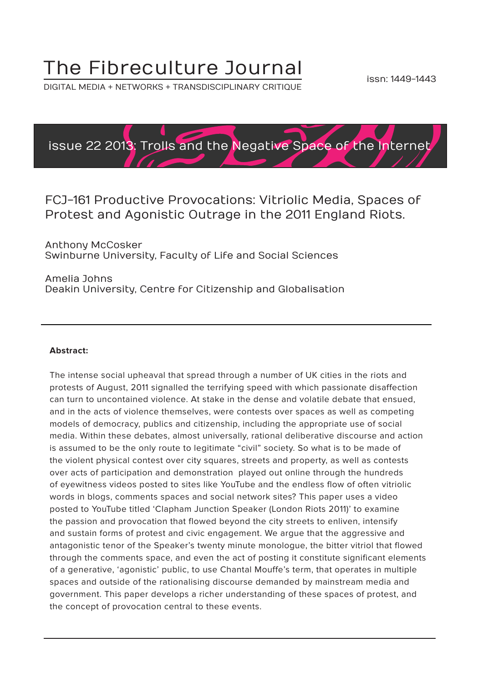## The Fibreculture Journal

DIGITAL MEDIA + NETWORKS + TRANSDISCIPLINARY CRITIQUE



#### FCJ-161 Productive Provocations: Vitriolic Media, Spaces of Protest and Agonistic Outrage in the 2011 England Riots.

Anthony McCosker Swinburne University, Faculty of Life and Social Sciences

Amelia Johns Deakin University, Centre for Citizenship and Globalisation

#### **Abstract:**

The intense social upheaval that spread through a number of UK cities in the riots and protests of August, 2011 signalled the terrifying speed with which passionate disaffection can turn to uncontained violence. At stake in the dense and volatile debate that ensued, and in the acts of violence themselves, were contests over spaces as well as competing models of democracy, publics and citizenship, including the appropriate use of social media. Within these debates, almost universally, rational deliberative discourse and action is assumed to be the only route to legitimate "civil" society. So what is to be made of the violent physical contest over city squares, streets and property, as well as contests over acts of participation and demonstration played out online through the hundreds of eyewitness videos posted to sites like YouTube and the endless flow of often vitriolic words in blogs, comments spaces and social network sites? This paper uses a video posted to YouTube titled 'Clapham Junction Speaker (London Riots 2011)' to examine the passion and provocation that flowed beyond the city streets to enliven, intensify and sustain forms of protest and civic engagement. We argue that the aggressive and antagonistic tenor of the Speaker's twenty minute monologue, the bitter vitriol that flowed through the comments space, and even the act of posting it constitute significant elements of a generative, 'agonistic' public, to use Chantal Mouffe's term, that operates in multiple spaces and outside of the rationalising discourse demanded by mainstream media and government. This paper develops a richer understanding of these spaces of protest, and the concept of provocation central to these events.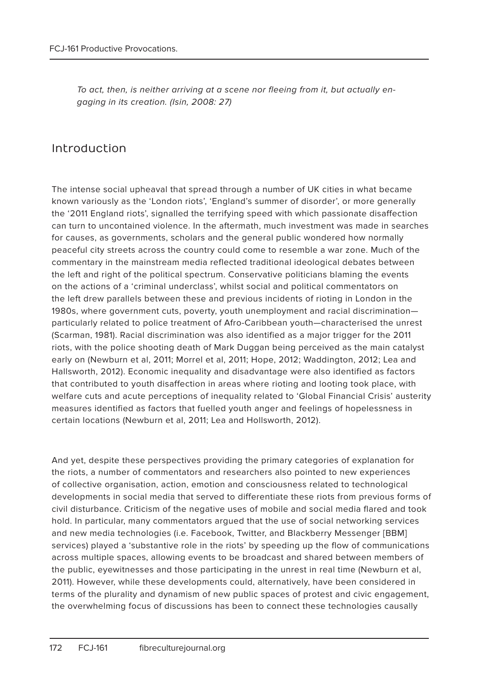To act, then, is neither arriving at a scene nor fleeing from it, but actually engaging in its creation. (Isin, 2008: 27)

#### Introduction

The intense social upheaval that spread through a number of UK cities in what became known variously as the 'London riots', 'England's summer of disorder', or more generally the '2011 England riots', signalled the terrifying speed with which passionate disaffection can turn to uncontained violence. In the aftermath, much investment was made in searches for causes, as governments, scholars and the general public wondered how normally peaceful city streets across the country could come to resemble a war zone. Much of the commentary in the mainstream media reflected traditional ideological debates between the left and right of the political spectrum. Conservative politicians blaming the events on the actions of a 'criminal underclass', whilst social and political commentators on the left drew parallels between these and previous incidents of rioting in London in the 1980s, where government cuts, poverty, youth unemployment and racial discrimination particularly related to police treatment of Afro-Caribbean youth—characterised the unrest (Scarman, 1981). Racial discrimination was also identified as a major trigger for the 2011 riots, with the police shooting death of Mark Duggan being perceived as the main catalyst early on (Newburn et al, 2011; Morrel et al, 2011; Hope, 2012; Waddington, 2012; Lea and Hallsworth, 2012). Economic inequality and disadvantage were also identified as factors that contributed to youth disaffection in areas where rioting and looting took place, with welfare cuts and acute perceptions of inequality related to 'Global Financial Crisis' austerity measures identified as factors that fuelled youth anger and feelings of hopelessness in certain locations (Newburn et al, 2011; Lea and Hollsworth, 2012).

And yet, despite these perspectives providing the primary categories of explanation for the riots, a number of commentators and researchers also pointed to new experiences of collective organisation, action, emotion and consciousness related to technological developments in social media that served to differentiate these riots from previous forms of civil disturbance. Criticism of the negative uses of mobile and social media flared and took hold. In particular, many commentators argued that the use of social networking services and new media technologies (i.e. Facebook, Twitter, and Blackberry Messenger [BBM] services) played a 'substantive role in the riots' by speeding up the flow of communications across multiple spaces, allowing events to be broadcast and shared between members of the public, eyewitnesses and those participating in the unrest in real time (Newburn et al, 2011). However, while these developments could, alternatively, have been considered in terms of the plurality and dynamism of new public spaces of protest and civic engagement, the overwhelming focus of discussions has been to connect these technologies causally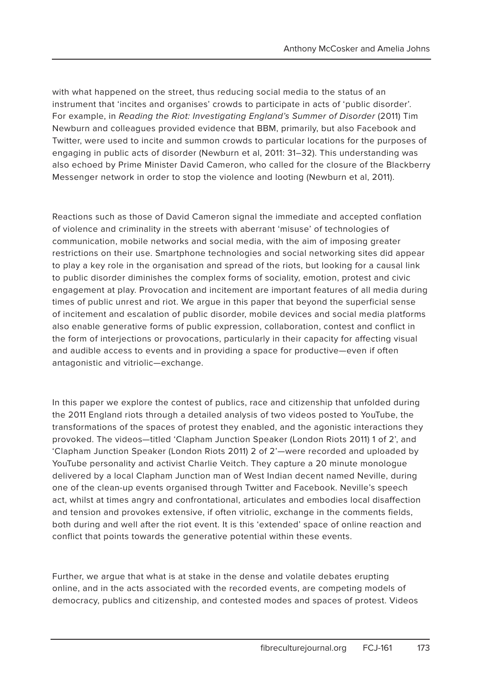with what happened on the street, thus reducing social media to the status of an instrument that 'incites and organises' crowds to participate in acts of 'public disorder'. For example, in Reading the Riot: Investigating England's Summer of Disorder (2011) Tim Newburn and colleagues provided evidence that BBM, primarily, but also Facebook and Twitter, were used to incite and summon crowds to particular locations for the purposes of engaging in public acts of disorder (Newburn et al, 2011: 31–32). This understanding was also echoed by Prime Minister David Cameron, who called for the closure of the Blackberry Messenger network in order to stop the violence and looting (Newburn et al, 2011).

Reactions such as those of David Cameron signal the immediate and accepted conflation of violence and criminality in the streets with aberrant 'misuse' of technologies of communication, mobile networks and social media, with the aim of imposing greater restrictions on their use. Smartphone technologies and social networking sites did appear to play a key role in the organisation and spread of the riots, but looking for a causal link to public disorder diminishes the complex forms of sociality, emotion, protest and civic engagement at play. Provocation and incitement are important features of all media during times of public unrest and riot. We argue in this paper that beyond the superficial sense of incitement and escalation of public disorder, mobile devices and social media platforms also enable generative forms of public expression, collaboration, contest and conflict in the form of interjections or provocations, particularly in their capacity for affecting visual and audible access to events and in providing a space for productive—even if often antagonistic and vitriolic—exchange.

In this paper we explore the contest of publics, race and citizenship that unfolded during the 2011 England riots through a detailed analysis of two videos posted to YouTube, the transformations of the spaces of protest they enabled, and the agonistic interactions they provoked. The videos—titled 'Clapham Junction Speaker (London Riots 2011) 1 of 2', and 'Clapham Junction Speaker (London Riots 2011) 2 of 2'—were recorded and uploaded by YouTube personality and activist Charlie Veitch. They capture a 20 minute monologue delivered by a local Clapham Junction man of West Indian decent named Neville, during one of the clean-up events organised through Twitter and Facebook. Neville's speech act, whilst at times angry and confrontational, articulates and embodies local disaffection and tension and provokes extensive, if often vitriolic, exchange in the comments fields, both during and well after the riot event. It is this 'extended' space of online reaction and conflict that points towards the generative potential within these events.

Further, we argue that what is at stake in the dense and volatile debates erupting online, and in the acts associated with the recorded events, are competing models of democracy, publics and citizenship, and contested modes and spaces of protest. Videos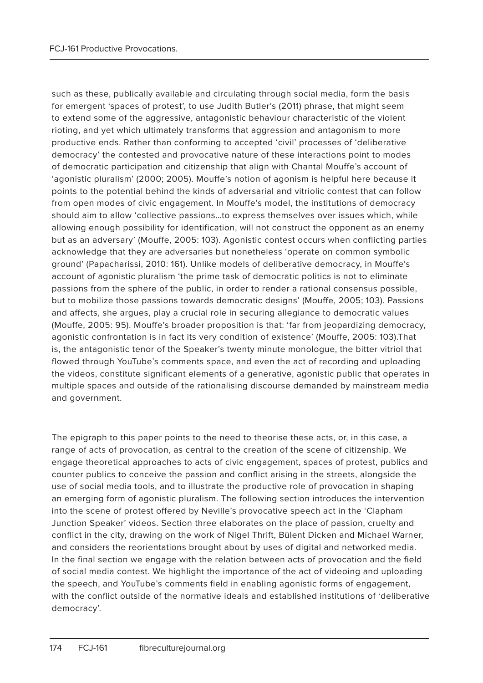such as these, publically available and circulating through social media, form the basis for emergent 'spaces of protest', to use Judith Butler's (2011) phrase, that might seem to extend some of the aggressive, antagonistic behaviour characteristic of the violent rioting, and yet which ultimately transforms that aggression and antagonism to more productive ends. Rather than conforming to accepted 'civil' processes of 'deliberative democracy' the contested and provocative nature of these interactions point to modes of democratic participation and citizenship that align with Chantal Mouffe's account of 'agonistic pluralism' (2000; 2005). Mouffe's notion of agonism is helpful here because it points to the potential behind the kinds of adversarial and vitriolic contest that can follow from open modes of civic engagement. In Mouffe's model, the institutions of democracy should aim to allow 'collective passions…to express themselves over issues which, while allowing enough possibility for identification, will not construct the opponent as an enemy but as an adversary' (Mouffe, 2005: 103). Agonistic contest occurs when conflicting parties acknowledge that they are adversaries but nonetheless 'operate on common symbolic ground' (Papacharissi, 2010: 161). Unlike models of deliberative democracy, in Mouffe's account of agonistic pluralism 'the prime task of democratic politics is not to eliminate passions from the sphere of the public, in order to render a rational consensus possible, but to mobilize those passions towards democratic designs' (Mouffe, 2005; 103). Passions and affects, she argues, play a crucial role in securing allegiance to democratic values (Mouffe, 2005: 95). Mouffe's broader proposition is that: 'far from jeopardizing democracy, agonistic confrontation is in fact its very condition of existence' (Mouffe, 2005: 103).That is, the antagonistic tenor of the Speaker's twenty minute monologue, the bitter vitriol that flowed through YouTube's comments space, and even the act of recording and uploading the videos, constitute significant elements of a generative, agonistic public that operates in multiple spaces and outside of the rationalising discourse demanded by mainstream media and government.

The epigraph to this paper points to the need to theorise these acts, or, in this case, a range of acts of provocation, as central to the creation of the scene of citizenship. We engage theoretical approaches to acts of civic engagement, spaces of protest, publics and counter publics to conceive the passion and conflict arising in the streets, alongside the use of social media tools, and to illustrate the productive role of provocation in shaping an emerging form of agonistic pluralism. The following section introduces the intervention into the scene of protest offered by Neville's provocative speech act in the 'Clapham Junction Speaker' videos. Section three elaborates on the place of passion, cruelty and conflict in the city, drawing on the work of Nigel Thrift, Bülent Dicken and Michael Warner, and considers the reorientations brought about by uses of digital and networked media. In the final section we engage with the relation between acts of provocation and the field of social media contest. We highlight the importance of the act of videoing and uploading the speech, and YouTube's comments field in enabling agonistic forms of engagement, with the conflict outside of the normative ideals and established institutions of 'deliberative democracy'.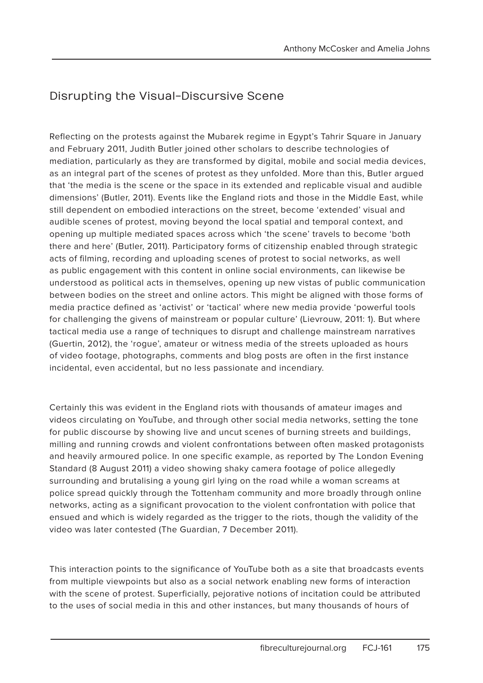### Disrupting the Visual-Discursive Scene

Reflecting on the protests against the Mubarek regime in Egypt's Tahrir Square in January and February 2011, Judith Butler joined other scholars to describe technologies of mediation, particularly as they are transformed by digital, mobile and social media devices, as an integral part of the scenes of protest as they unfolded. More than this, Butler argued that 'the media is the scene or the space in its extended and replicable visual and audible dimensions' (Butler, 2011). Events like the England riots and those in the Middle East, while still dependent on embodied interactions on the street, become 'extended' visual and audible scenes of protest, moving beyond the local spatial and temporal context, and opening up multiple mediated spaces across which 'the scene' travels to become 'both there and here' (Butler, 2011). Participatory forms of citizenship enabled through strategic acts of filming, recording and uploading scenes of protest to social networks, as well as public engagement with this content in online social environments, can likewise be understood as political acts in themselves, opening up new vistas of public communication between bodies on the street and online actors. This might be aligned with those forms of media practice defined as 'activist' or 'tactical' where new media provide 'powerful tools for challenging the givens of mainstream or popular culture' (Lievrouw, 2011: 1). But where tactical media use a range of techniques to disrupt and challenge mainstream narratives (Guertin, 2012), the 'rogue', amateur or witness media of the streets uploaded as hours of video footage, photographs, comments and blog posts are often in the first instance incidental, even accidental, but no less passionate and incendiary.

Certainly this was evident in the England riots with thousands of amateur images and videos circulating on YouTube, and through other social media networks, setting the tone for public discourse by showing live and uncut scenes of burning streets and buildings, milling and running crowds and violent confrontations between often masked protagonists and heavily armoured police. In one specific example, as reported by The London Evening Standard (8 August 2011) a video showing shaky camera footage of police allegedly surrounding and brutalising a young girl lying on the road while a woman screams at police spread quickly through the Tottenham community and more broadly through online networks, acting as a significant provocation to the violent confrontation with police that ensued and which is widely regarded as the trigger to the riots, though the validity of the video was later contested (The Guardian, 7 December 2011).

This interaction points to the significance of YouTube both as a site that broadcasts events from multiple viewpoints but also as a social network enabling new forms of interaction with the scene of protest. Superficially, pejorative notions of incitation could be attributed to the uses of social media in this and other instances, but many thousands of hours of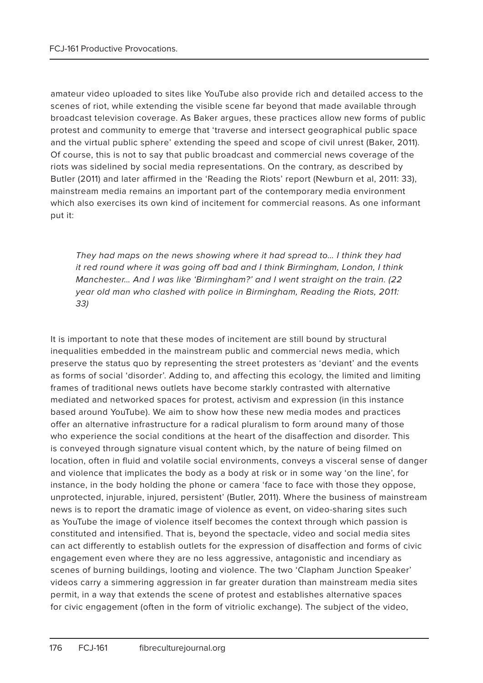amateur video uploaded to sites like YouTube also provide rich and detailed access to the scenes of riot, while extending the visible scene far beyond that made available through broadcast television coverage. As Baker argues, these practices allow new forms of public protest and community to emerge that 'traverse and intersect geographical public space and the virtual public sphere' extending the speed and scope of civil unrest (Baker, 2011). Of course, this is not to say that public broadcast and commercial news coverage of the riots was sidelined by social media representations. On the contrary, as described by Butler (2011) and later affirmed in the 'Reading the Riots' report (Newburn et al, 2011: 33), mainstream media remains an important part of the contemporary media environment which also exercises its own kind of incitement for commercial reasons. As one informant put it:

They had maps on the news showing where it had spread to… I think they had it red round where it was going off bad and I think Birmingham, London, I think Manchester… And I was like 'Birmingham?' and I went straight on the train. (22 year old man who clashed with police in Birmingham, Reading the Riots, 2011: 33)

It is important to note that these modes of incitement are still bound by structural inequalities embedded in the mainstream public and commercial news media, which preserve the status quo by representing the street protesters as 'deviant' and the events as forms of social 'disorder'. Adding to, and affecting this ecology, the limited and limiting frames of traditional news outlets have become starkly contrasted with alternative mediated and networked spaces for protest, activism and expression (in this instance based around YouTube). We aim to show how these new media modes and practices offer an alternative infrastructure for a radical pluralism to form around many of those who experience the social conditions at the heart of the disaffection and disorder. This is conveyed through signature visual content which, by the nature of being filmed on location, often in fluid and volatile social environments, conveys a visceral sense of danger and violence that implicates the body as a body at risk or in some way 'on the line', for instance, in the body holding the phone or camera 'face to face with those they oppose, unprotected, injurable, injured, persistent' (Butler, 2011). Where the business of mainstream news is to report the dramatic image of violence as event, on video-sharing sites such as YouTube the image of violence itself becomes the context through which passion is constituted and intensified. That is, beyond the spectacle, video and social media sites can act differently to establish outlets for the expression of disaffection and forms of civic engagement even where they are no less aggressive, antagonistic and incendiary as scenes of burning buildings, looting and violence. The two 'Clapham Junction Speaker' videos carry a simmering aggression in far greater duration than mainstream media sites permit, in a way that extends the scene of protest and establishes alternative spaces for civic engagement (often in the form of vitriolic exchange). The subject of the video,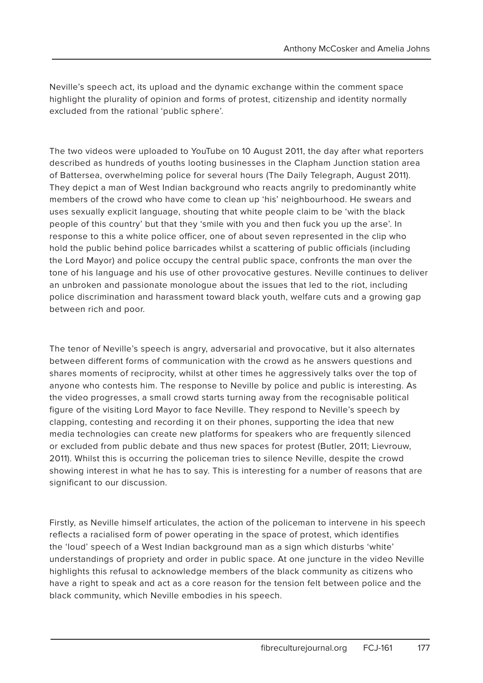Neville's speech act, its upload and the dynamic exchange within the comment space highlight the plurality of opinion and forms of protest, citizenship and identity normally excluded from the rational 'public sphere'.

The two videos were uploaded to YouTube on 10 August 2011, the day after what reporters described as hundreds of youths looting businesses in the Clapham Junction station area of Battersea, overwhelming police for several hours (The Daily Telegraph, August 2011). They depict a man of West Indian background who reacts angrily to predominantly white members of the crowd who have come to clean up 'his' neighbourhood. He swears and uses sexually explicit language, shouting that white people claim to be 'with the black people of this country' but that they 'smile with you and then fuck you up the arse'. In response to this a white police officer, one of about seven represented in the clip who hold the public behind police barricades whilst a scattering of public officials (including the Lord Mayor) and police occupy the central public space, confronts the man over the tone of his language and his use of other provocative gestures. Neville continues to deliver an unbroken and passionate monologue about the issues that led to the riot, including police discrimination and harassment toward black youth, welfare cuts and a growing gap between rich and poor.

The tenor of Neville's speech is angry, adversarial and provocative, but it also alternates between different forms of communication with the crowd as he answers questions and shares moments of reciprocity, whilst at other times he aggressively talks over the top of anyone who contests him. The response to Neville by police and public is interesting. As the video progresses, a small crowd starts turning away from the recognisable political figure of the visiting Lord Mayor to face Neville. They respond to Neville's speech by clapping, contesting and recording it on their phones, supporting the idea that new media technologies can create new platforms for speakers who are frequently silenced or excluded from public debate and thus new spaces for protest (Butler, 2011; Lievrouw, 2011). Whilst this is occurring the policeman tries to silence Neville, despite the crowd showing interest in what he has to say. This is interesting for a number of reasons that are significant to our discussion.

Firstly, as Neville himself articulates, the action of the policeman to intervene in his speech reflects a racialised form of power operating in the space of protest, which identifies the 'loud' speech of a West Indian background man as a sign which disturbs 'white' understandings of propriety and order in public space. At one juncture in the video Neville highlights this refusal to acknowledge members of the black community as citizens who have a right to speak and act as a core reason for the tension felt between police and the black community, which Neville embodies in his speech.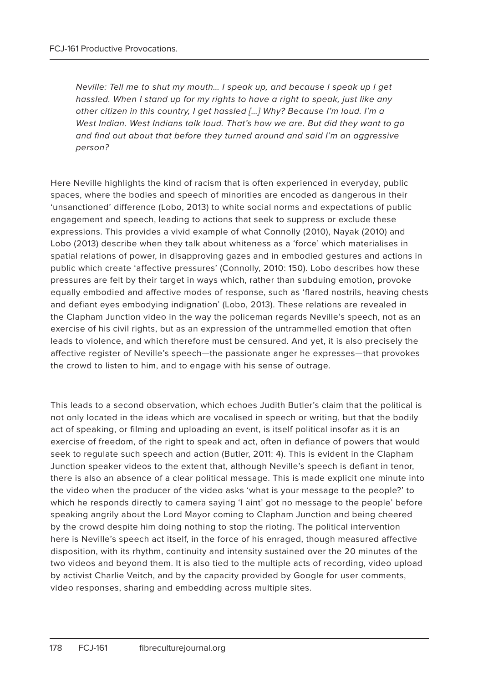Neville: Tell me to shut my mouth… I speak up, and because I speak up I get hassled. When I stand up for my rights to have a right to speak, just like any other citizen in this country, I get hassled […] Why? Because I'm loud. I'm a West Indian. West Indians talk loud. That's how we are. But did they want to go and find out about that before they turned around and said I'm an aggressive person?

Here Neville highlights the kind of racism that is often experienced in everyday, public spaces, where the bodies and speech of minorities are encoded as dangerous in their 'unsanctioned' difference (Lobo, 2013) to white social norms and expectations of public engagement and speech, leading to actions that seek to suppress or exclude these expressions. This provides a vivid example of what Connolly (2010), Nayak (2010) and Lobo (2013) describe when they talk about whiteness as a 'force' which materialises in spatial relations of power, in disapproving gazes and in embodied gestures and actions in public which create 'affective pressures' (Connolly, 2010: 150). Lobo describes how these pressures are felt by their target in ways which, rather than subduing emotion, provoke equally embodied and affective modes of response, such as 'flared nostrils, heaving chests and defiant eyes embodying indignation' (Lobo, 2013). These relations are revealed in the Clapham Junction video in the way the policeman regards Neville's speech, not as an exercise of his civil rights, but as an expression of the untrammelled emotion that often leads to violence, and which therefore must be censured. And yet, it is also precisely the affective register of Neville's speech—the passionate anger he expresses—that provokes the crowd to listen to him, and to engage with his sense of outrage.

This leads to a second observation, which echoes Judith Butler's claim that the political is not only located in the ideas which are vocalised in speech or writing, but that the bodily act of speaking, or filming and uploading an event, is itself political insofar as it is an exercise of freedom, of the right to speak and act, often in defiance of powers that would seek to regulate such speech and action (Butler, 2011: 4). This is evident in the Clapham Junction speaker videos to the extent that, although Neville's speech is defiant in tenor, there is also an absence of a clear political message. This is made explicit one minute into the video when the producer of the video asks 'what is your message to the people?' to which he responds directly to camera saying 'I aint' got no message to the people' before speaking angrily about the Lord Mayor coming to Clapham Junction and being cheered by the crowd despite him doing nothing to stop the rioting. The political intervention here is Neville's speech act itself, in the force of his enraged, though measured affective disposition, with its rhythm, continuity and intensity sustained over the 20 minutes of the two videos and beyond them. It is also tied to the multiple acts of recording, video upload by activist Charlie Veitch, and by the capacity provided by Google for user comments, video responses, sharing and embedding across multiple sites.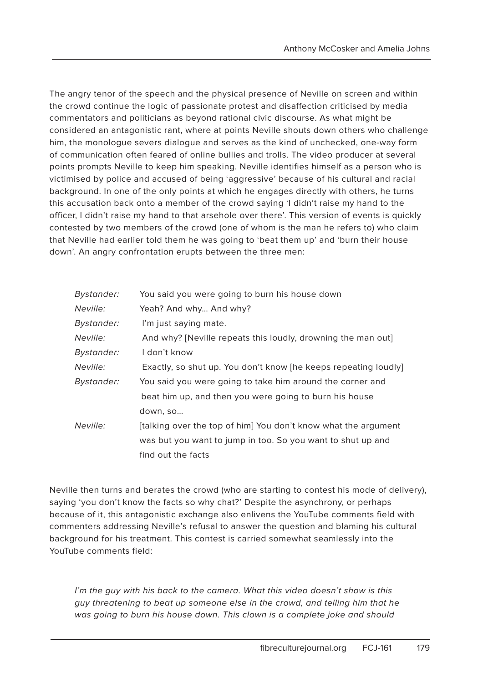The angry tenor of the speech and the physical presence of Neville on screen and within the crowd continue the logic of passionate protest and disaffection criticised by media commentators and politicians as beyond rational civic discourse. As what might be considered an antagonistic rant, where at points Neville shouts down others who challenge him, the monologue severs dialogue and serves as the kind of unchecked, one-way form of communication often feared of online bullies and trolls. The video producer at several points prompts Neville to keep him speaking. Neville identifies himself as a person who is victimised by police and accused of being 'aggressive' because of his cultural and racial background. In one of the only points at which he engages directly with others, he turns this accusation back onto a member of the crowd saying 'I didn't raise my hand to the officer, I didn't raise my hand to that arsehole over there'. This version of events is quickly contested by two members of the crowd (one of whom is the man he refers to) who claim that Neville had earlier told them he was going to 'beat them up' and 'burn their house down'. An angry confrontation erupts between the three men:

| Bystander: | You said you were going to burn his house down                  |
|------------|-----------------------------------------------------------------|
| Neville:   | Yeah? And why And why?                                          |
| Bystander: | I'm just saying mate.                                           |
| Neville:   | And why? [Neville repeats this loudly, drowning the man out]    |
| Bystander: | I don't know                                                    |
| Neville:   | Exactly, so shut up. You don't know [he keeps repeating loudly] |
| Bystander: | You said you were going to take him around the corner and       |
|            | beat him up, and then you were going to burn his house          |
|            | down, so                                                        |
| Neville:   | [talking over the top of him] You don't know what the argument  |
|            | was but you want to jump in too. So you want to shut up and     |
|            | find out the facts                                              |

Neville then turns and berates the crowd (who are starting to contest his mode of delivery), saying 'you don't know the facts so why chat?' Despite the asynchrony, or perhaps because of it, this antagonistic exchange also enlivens the YouTube comments field with commenters addressing Neville's refusal to answer the question and blaming his cultural background for his treatment. This contest is carried somewhat seamlessly into the YouTube comments field:

I'm the guy with his back to the camera. What this video doesn't show is this guy threatening to beat up someone else in the crowd, and telling him that he was going to burn his house down. This clown is a complete joke and should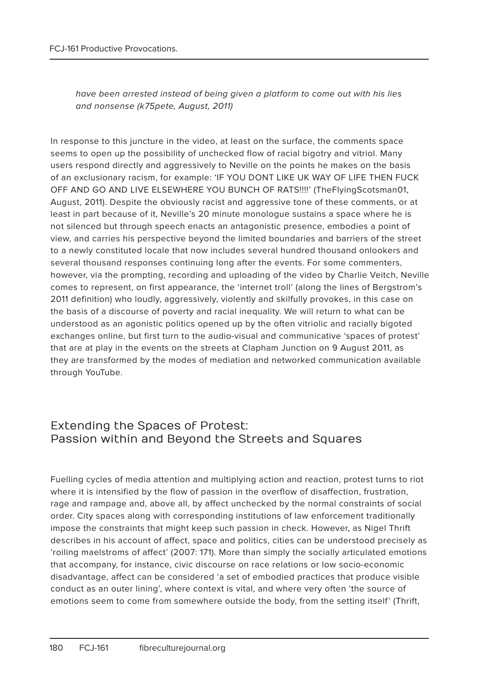have been arrested instead of being given a platform to come out with his lies and nonsense (k75pete, August, 2011)

In response to this juncture in the video, at least on the surface, the comments space seems to open up the possibility of unchecked flow of racial bigotry and vitriol. Many users respond directly and aggressively to Neville on the points he makes on the basis of an exclusionary racism, for example: 'IF YOU DONT LIKE UK WAY OF LIFE THEN FUCK OFF AND GO AND LIVE ELSEWHERE YOU BUNCH OF RATS!!!!' (TheFlyingScotsman01, August, 2011). Despite the obviously racist and aggressive tone of these comments, or at least in part because of it, Neville's 20 minute monologue sustains a space where he is not silenced but through speech enacts an antagonistic presence, embodies a point of view, and carries his perspective beyond the limited boundaries and barriers of the street to a newly constituted locale that now includes several hundred thousand onlookers and several thousand responses continuing long after the events. For some commenters, however, via the prompting, recording and uploading of the video by Charlie Veitch, Neville comes to represent, on first appearance, the 'internet troll' (along the lines of Bergstrom's 2011 definition) who loudly, aggressively, violently and skilfully provokes, in this case on the basis of a discourse of poverty and racial inequality. We will return to what can be understood as an agonistic politics opened up by the often vitriolic and racially bigoted exchanges online, but first turn to the audio-visual and communicative 'spaces of protest' that are at play in the events on the streets at Clapham Junction on 9 August 2011, as they are transformed by the modes of mediation and networked communication available through YouTube.

#### Extending the Spaces of Protest: Passion within and Beyond the Streets and Squares

Fuelling cycles of media attention and multiplying action and reaction, protest turns to riot where it is intensified by the flow of passion in the overflow of disaffection, frustration, rage and rampage and, above all, by affect unchecked by the normal constraints of social order. City spaces along with corresponding institutions of law enforcement traditionally impose the constraints that might keep such passion in check. However, as Nigel Thrift describes in his account of affect, space and politics, cities can be understood precisely as 'roiling maelstroms of affect' (2007: 171). More than simply the socially articulated emotions that accompany, for instance, civic discourse on race relations or low socio-economic disadvantage, affect can be considered 'a set of embodied practices that produce visible conduct as an outer lining', where context is vital, and where very often 'the source of emotions seem to come from somewhere outside the body, from the setting itself' (Thrift,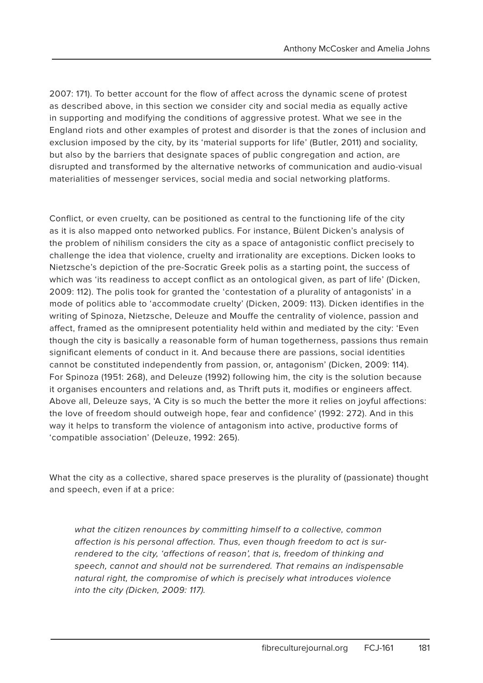2007: 171). To better account for the flow of affect across the dynamic scene of protest as described above, in this section we consider city and social media as equally active in supporting and modifying the conditions of aggressive protest. What we see in the England riots and other examples of protest and disorder is that the zones of inclusion and exclusion imposed by the city, by its 'material supports for life' (Butler, 2011) and sociality, but also by the barriers that designate spaces of public congregation and action, are disrupted and transformed by the alternative networks of communication and audio-visual materialities of messenger services, social media and social networking platforms.

Conflict, or even cruelty, can be positioned as central to the functioning life of the city as it is also mapped onto networked publics. For instance, Bülent Dicken's analysis of the problem of nihilism considers the city as a space of antagonistic conflict precisely to challenge the idea that violence, cruelty and irrationality are exceptions. Dicken looks to Nietzsche's depiction of the pre-Socratic Greek polis as a starting point, the success of which was 'its readiness to accept conflict as an ontological given, as part of life' (Dicken, 2009: 112). The polis took for granted the 'contestation of a plurality of antagonists' in a mode of politics able to 'accommodate cruelty' (Dicken, 2009: 113). Dicken identifies in the writing of Spinoza, Nietzsche, Deleuze and Mouffe the centrality of violence, passion and affect, framed as the omnipresent potentiality held within and mediated by the city: 'Even though the city is basically a reasonable form of human togetherness, passions thus remain significant elements of conduct in it. And because there are passions, social identities cannot be constituted independently from passion, or, antagonism' (Dicken, 2009: 114). For Spinoza (1951: 268), and Deleuze (1992) following him, the city is the solution because it organises encounters and relations and, as Thrift puts it, modifies or engineers affect. Above all, Deleuze says, 'A City is so much the better the more it relies on joyful affections: the love of freedom should outweigh hope, fear and confidence' (1992: 272). And in this way it helps to transform the violence of antagonism into active, productive forms of 'compatible association' (Deleuze, 1992: 265).

What the city as a collective, shared space preserves is the plurality of (passionate) thought and speech, even if at a price:

what the citizen renounces by committing himself to a collective, common affection is his personal affection. Thus, even though freedom to act is surrendered to the city, 'affections of reason', that is, freedom of thinking and speech, cannot and should not be surrendered. That remains an indispensable natural right, the compromise of which is precisely what introduces violence into the city (Dicken, 2009: 117).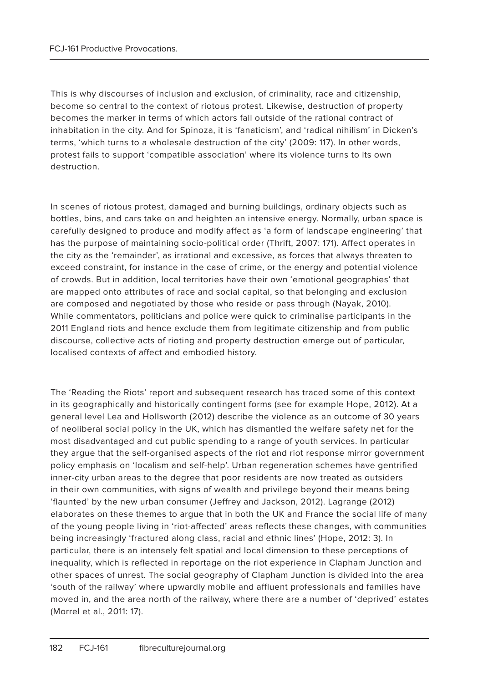This is why discourses of inclusion and exclusion, of criminality, race and citizenship, become so central to the context of riotous protest. Likewise, destruction of property becomes the marker in terms of which actors fall outside of the rational contract of inhabitation in the city. And for Spinoza, it is 'fanaticism', and 'radical nihilism' in Dicken's terms, 'which turns to a wholesale destruction of the city' (2009: 117). In other words, protest fails to support 'compatible association' where its violence turns to its own destruction.

In scenes of riotous protest, damaged and burning buildings, ordinary objects such as bottles, bins, and cars take on and heighten an intensive energy. Normally, urban space is carefully designed to produce and modify affect as 'a form of landscape engineering' that has the purpose of maintaining socio-political order (Thrift, 2007: 171). Affect operates in the city as the 'remainder', as irrational and excessive, as forces that always threaten to exceed constraint, for instance in the case of crime, or the energy and potential violence of crowds. But in addition, local territories have their own 'emotional geographies' that are mapped onto attributes of race and social capital, so that belonging and exclusion are composed and negotiated by those who reside or pass through (Nayak, 2010). While commentators, politicians and police were quick to criminalise participants in the 2011 England riots and hence exclude them from legitimate citizenship and from public discourse, collective acts of rioting and property destruction emerge out of particular, localised contexts of affect and embodied history.

The 'Reading the Riots' report and subsequent research has traced some of this context in its geographically and historically contingent forms (see for example Hope, 2012). At a general level Lea and Hollsworth (2012) describe the violence as an outcome of 30 years of neoliberal social policy in the UK, which has dismantled the welfare safety net for the most disadvantaged and cut public spending to a range of youth services. In particular they argue that the self-organised aspects of the riot and riot response mirror government policy emphasis on 'localism and self-help'. Urban regeneration schemes have gentrified inner-city urban areas to the degree that poor residents are now treated as outsiders in their own communities, with signs of wealth and privilege beyond their means being 'flaunted' by the new urban consumer (Jeffrey and Jackson, 2012). Lagrange (2012) elaborates on these themes to argue that in both the UK and France the social life of many of the young people living in 'riot-affected' areas reflects these changes, with communities being increasingly 'fractured along class, racial and ethnic lines' (Hope, 2012: 3). In particular, there is an intensely felt spatial and local dimension to these perceptions of inequality, which is reflected in reportage on the riot experience in Clapham Junction and other spaces of unrest. The social geography of Clapham Junction is divided into the area 'south of the railway' where upwardly mobile and affluent professionals and families have moved in, and the area north of the railway, where there are a number of 'deprived' estates (Morrel et al., 2011: 17).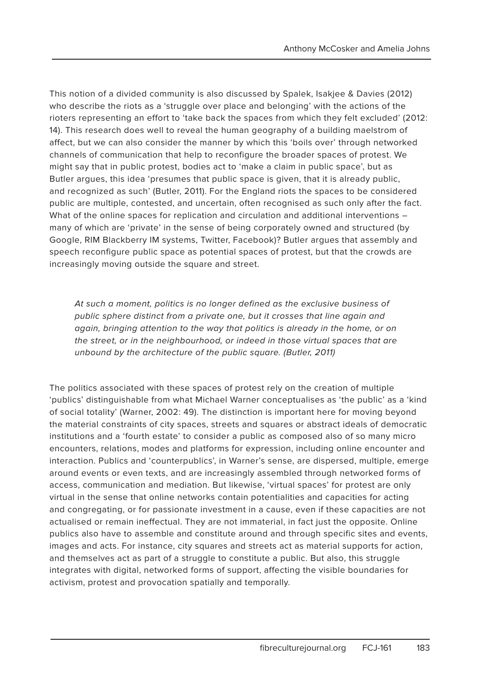This notion of a divided community is also discussed by Spalek, Isakjee & Davies (2012) who describe the riots as a 'struggle over place and belonging' with the actions of the rioters representing an effort to 'take back the spaces from which they felt excluded' (2012: 14). This research does well to reveal the human geography of a building maelstrom of affect, but we can also consider the manner by which this 'boils over' through networked channels of communication that help to reconfigure the broader spaces of protest. We might say that in public protest, bodies act to 'make a claim in public space', but as Butler argues, this idea 'presumes that public space is given, that it is already public, and recognized as such' (Butler, 2011). For the England riots the spaces to be considered public are multiple, contested, and uncertain, often recognised as such only after the fact. What of the online spaces for replication and circulation and additional interventions many of which are 'private' in the sense of being corporately owned and structured (by Google, RIM Blackberry IM systems, Twitter, Facebook)? Butler argues that assembly and speech reconfigure public space as potential spaces of protest, but that the crowds are increasingly moving outside the square and street.

At such a moment, politics is no longer defined as the exclusive business of public sphere distinct from a private one, but it crosses that line again and again, bringing attention to the way that politics is already in the home, or on the street, or in the neighbourhood, or indeed in those virtual spaces that are unbound by the architecture of the public square. (Butler, 2011)

The politics associated with these spaces of protest rely on the creation of multiple 'publics' distinguishable from what Michael Warner conceptualises as 'the public' as a 'kind of social totality' (Warner, 2002: 49). The distinction is important here for moving beyond the material constraints of city spaces, streets and squares or abstract ideals of democratic institutions and a 'fourth estate' to consider a public as composed also of so many micro encounters, relations, modes and platforms for expression, including online encounter and interaction. Publics and 'counterpublics', in Warner's sense, are dispersed, multiple, emerge around events or even texts, and are increasingly assembled through networked forms of access, communication and mediation. But likewise, 'virtual spaces' for protest are only virtual in the sense that online networks contain potentialities and capacities for acting and congregating, or for passionate investment in a cause, even if these capacities are not actualised or remain ineffectual. They are not immaterial, in fact just the opposite. Online publics also have to assemble and constitute around and through specific sites and events, images and acts. For instance, city squares and streets act as material supports for action, and themselves act as part of a struggle to constitute a public. But also, this struggle integrates with digital, networked forms of support, affecting the visible boundaries for activism, protest and provocation spatially and temporally.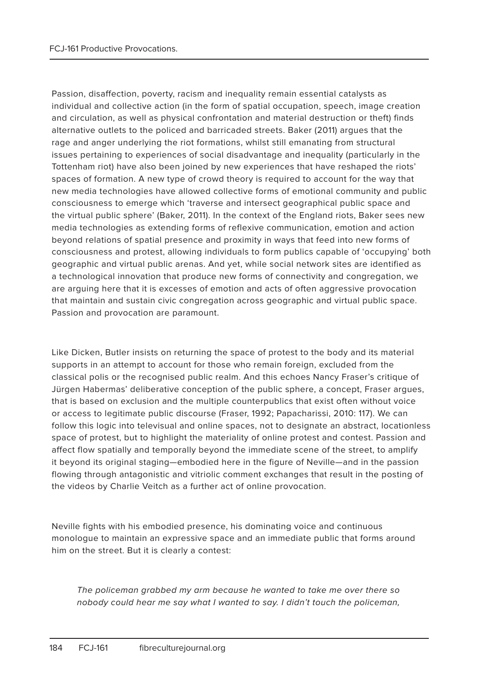Passion, disaffection, poverty, racism and inequality remain essential catalysts as individual and collective action (in the form of spatial occupation, speech, image creation and circulation, as well as physical confrontation and material destruction or theft) finds alternative outlets to the policed and barricaded streets. Baker (2011) argues that the rage and anger underlying the riot formations, whilst still emanating from structural issues pertaining to experiences of social disadvantage and inequality (particularly in the Tottenham riot) have also been joined by new experiences that have reshaped the riots' spaces of formation. A new type of crowd theory is required to account for the way that new media technologies have allowed collective forms of emotional community and public consciousness to emerge which 'traverse and intersect geographical public space and the virtual public sphere' (Baker, 2011). In the context of the England riots, Baker sees new media technologies as extending forms of reflexive communication, emotion and action beyond relations of spatial presence and proximity in ways that feed into new forms of consciousness and protest, allowing individuals to form publics capable of 'occupying' both geographic and virtual public arenas. And yet, while social network sites are identified as a technological innovation that produce new forms of connectivity and congregation, we are arguing here that it is excesses of emotion and acts of often aggressive provocation that maintain and sustain civic congregation across geographic and virtual public space. Passion and provocation are paramount.

Like Dicken, Butler insists on returning the space of protest to the body and its material supports in an attempt to account for those who remain foreign, excluded from the classical polis or the recognised public realm. And this echoes Nancy Fraser's critique of Jürgen Habermas' deliberative conception of the public sphere, a concept, Fraser argues, that is based on exclusion and the multiple counterpublics that exist often without voice or access to legitimate public discourse (Fraser, 1992; Papacharissi, 2010: 117). We can follow this logic into televisual and online spaces, not to designate an abstract, locationless space of protest, but to highlight the materiality of online protest and contest. Passion and affect flow spatially and temporally beyond the immediate scene of the street, to amplify it beyond its original staging—embodied here in the figure of Neville—and in the passion flowing through antagonistic and vitriolic comment exchanges that result in the posting of the videos by Charlie Veitch as a further act of online provocation.

Neville fights with his embodied presence, his dominating voice and continuous monologue to maintain an expressive space and an immediate public that forms around him on the street. But it is clearly a contest:

The policeman grabbed my arm because he wanted to take me over there so nobody could hear me say what I wanted to say. I didn't touch the policeman,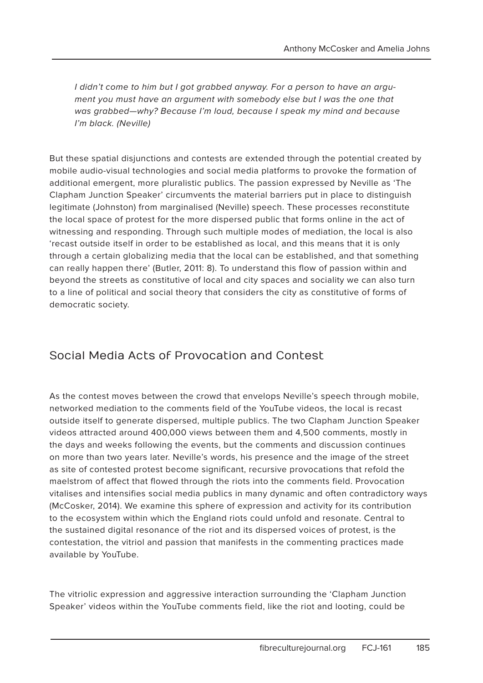I didn't come to him but I got grabbed anyway. For a person to have an argument you must have an argument with somebody else but I was the one that was grabbed—why? Because I'm loud, because I speak my mind and because I'm black. (Neville)

But these spatial disjunctions and contests are extended through the potential created by mobile audio-visual technologies and social media platforms to provoke the formation of additional emergent, more pluralistic publics. The passion expressed by Neville as 'The Clapham Junction Speaker' circumvents the material barriers put in place to distinguish legitimate (Johnston) from marginalised (Neville) speech. These processes reconstitute the local space of protest for the more dispersed public that forms online in the act of witnessing and responding. Through such multiple modes of mediation, the local is also 'recast outside itself in order to be established as local, and this means that it is only through a certain globalizing media that the local can be established, and that something can really happen there' (Butler, 2011: 8). To understand this flow of passion within and beyond the streets as constitutive of local and city spaces and sociality we can also turn to a line of political and social theory that considers the city as constitutive of forms of democratic society.

#### Social Media Acts of Provocation and Contest

As the contest moves between the crowd that envelops Neville's speech through mobile, networked mediation to the comments field of the YouTube videos, the local is recast outside itself to generate dispersed, multiple publics. The two Clapham Junction Speaker videos attracted around 400,000 views between them and 4,500 comments, mostly in the days and weeks following the events, but the comments and discussion continues on more than two years later. Neville's words, his presence and the image of the street as site of contested protest become significant, recursive provocations that refold the maelstrom of affect that flowed through the riots into the comments field. Provocation vitalises and intensifies social media publics in many dynamic and often contradictory ways (McCosker, 2014). We examine this sphere of expression and activity for its contribution to the ecosystem within which the England riots could unfold and resonate. Central to the sustained digital resonance of the riot and its dispersed voices of protest, is the contestation, the vitriol and passion that manifests in the commenting practices made available by YouTube.

The vitriolic expression and aggressive interaction surrounding the 'Clapham Junction Speaker' videos within the YouTube comments field, like the riot and looting, could be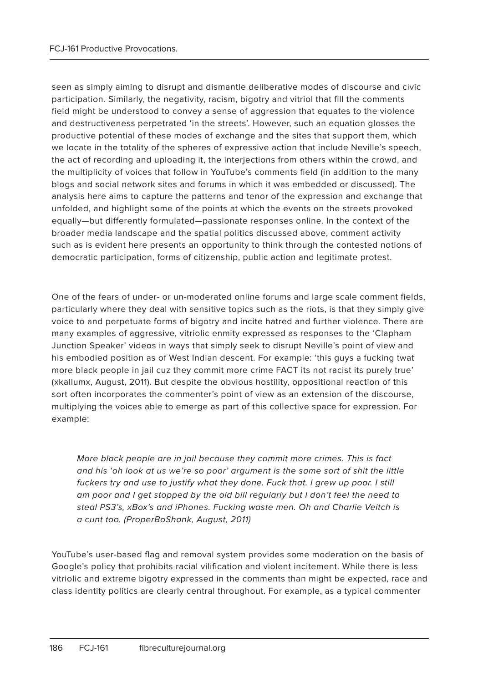seen as simply aiming to disrupt and dismantle deliberative modes of discourse and civic participation. Similarly, the negativity, racism, bigotry and vitriol that fill the comments field might be understood to convey a sense of aggression that equates to the violence and destructiveness perpetrated 'in the streets'. However, such an equation glosses the productive potential of these modes of exchange and the sites that support them, which we locate in the totality of the spheres of expressive action that include Neville's speech, the act of recording and uploading it, the interjections from others within the crowd, and the multiplicity of voices that follow in YouTube's comments field (in addition to the many blogs and social network sites and forums in which it was embedded or discussed). The analysis here aims to capture the patterns and tenor of the expression and exchange that unfolded, and highlight some of the points at which the events on the streets provoked equally—but differently formulated—passionate responses online. In the context of the broader media landscape and the spatial politics discussed above, comment activity such as is evident here presents an opportunity to think through the contested notions of democratic participation, forms of citizenship, public action and legitimate protest.

One of the fears of under- or un-moderated online forums and large scale comment fields, particularly where they deal with sensitive topics such as the riots, is that they simply give voice to and perpetuate forms of bigotry and incite hatred and further violence. There are many examples of aggressive, vitriolic enmity expressed as responses to the 'Clapham Junction Speaker' videos in ways that simply seek to disrupt Neville's point of view and his embodied position as of West Indian descent. For example: 'this guys a fucking twat more black people in jail cuz they commit more crime FACT its not racist its purely true' (xkallumx, August, 2011). But despite the obvious hostility, oppositional reaction of this sort often incorporates the commenter's point of view as an extension of the discourse, multiplying the voices able to emerge as part of this collective space for expression. For example:

More black people are in jail because they commit more crimes. This is fact and his 'oh look at us we're so poor' argument is the same sort of shit the little fuckers try and use to justify what they done. Fuck that. I grew up poor. I still am poor and I get stopped by the old bill regularly but I don't feel the need to steal PS3's, xBox's and iPhones. Fucking waste men. Oh and Charlie Veitch is a cunt too. (ProperBoShank, August, 2011)

YouTube's user-based flag and removal system provides some moderation on the basis of Google's policy that prohibits racial vilification and violent incitement. While there is less vitriolic and extreme bigotry expressed in the comments than might be expected, race and class identity politics are clearly central throughout. For example, as a typical commenter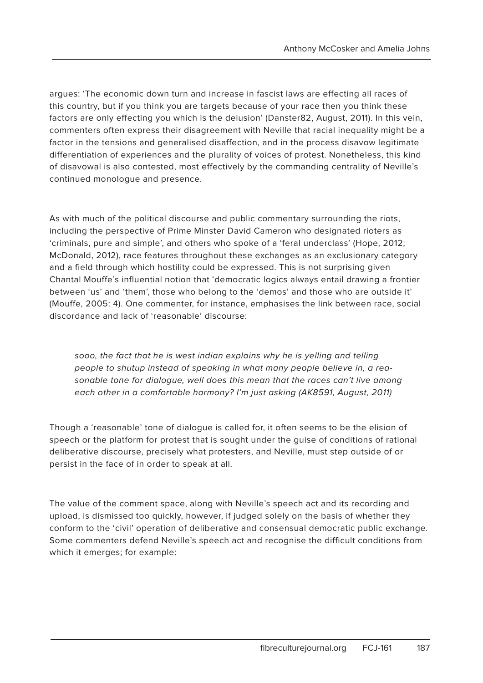argues: 'The economic down turn and increase in fascist laws are effecting all races of this country, but if you think you are targets because of your race then you think these factors are only effecting you which is the delusion' (Danster82, August, 2011). In this vein, commenters often express their disagreement with Neville that racial inequality might be a factor in the tensions and generalised disaffection, and in the process disavow legitimate differentiation of experiences and the plurality of voices of protest. Nonetheless, this kind of disavowal is also contested, most effectively by the commanding centrality of Neville's continued monologue and presence.

As with much of the political discourse and public commentary surrounding the riots, including the perspective of Prime Minster David Cameron who designated rioters as 'criminals, pure and simple', and others who spoke of a 'feral underclass' (Hope, 2012; McDonald, 2012), race features throughout these exchanges as an exclusionary category and a field through which hostility could be expressed. This is not surprising given Chantal Mouffe's influential notion that 'democratic logics always entail drawing a frontier between 'us' and 'them', those who belong to the 'demos' and those who are outside it' (Mouffe, 2005: 4). One commenter, for instance, emphasises the link between race, social discordance and lack of 'reasonable' discourse:

sooo, the fact that he is west indian explains why he is yelling and telling people to shutup instead of speaking in what many people believe in, a reasonable tone for dialogue, well does this mean that the races can't live among each other in a comfortable harmony? I'm just asking (AK8591, August, 2011)

Though a 'reasonable' tone of dialogue is called for, it often seems to be the elision of speech or the platform for protest that is sought under the guise of conditions of rational deliberative discourse, precisely what protesters, and Neville, must step outside of or persist in the face of in order to speak at all.

The value of the comment space, along with Neville's speech act and its recording and upload, is dismissed too quickly, however, if judged solely on the basis of whether they conform to the 'civil' operation of deliberative and consensual democratic public exchange. Some commenters defend Neville's speech act and recognise the difficult conditions from which it emerges; for example: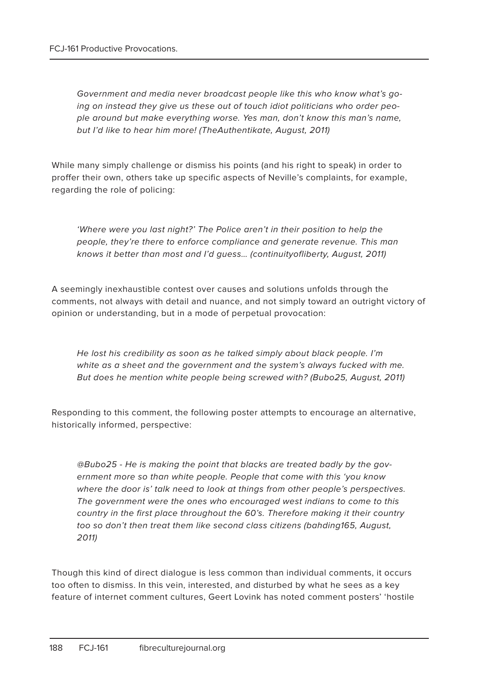Government and media never broadcast people like this who know what's going on instead they give us these out of touch idiot politicians who order people around but make everything worse. Yes man, don't know this man's name, but I'd like to hear him more! (TheAuthentikate, August, 2011)

While many simply challenge or dismiss his points (and his right to speak) in order to proffer their own, others take up specific aspects of Neville's complaints, for example, regarding the role of policing:

'Where were you last night?' The Police aren't in their position to help the people, they're there to enforce compliance and generate revenue. This man knows it better than most and I'd guess… (continuityofliberty, August, 2011)

A seemingly inexhaustible contest over causes and solutions unfolds through the comments, not always with detail and nuance, and not simply toward an outright victory of opinion or understanding, but in a mode of perpetual provocation:

He lost his credibility as soon as he talked simply about black people. I'm white as a sheet and the government and the system's always fucked with me. But does he mention white people being screwed with? (Bubo25, August, 2011)

Responding to this comment, the following poster attempts to encourage an alternative, historically informed, perspective:

@Bubo25 - He is making the point that blacks are treated badly by the government more so than white people. People that come with this 'you know where the door is' talk need to look at things from other people's perspectives. The government were the ones who encouraged west indians to come to this country in the first place throughout the 60's. Therefore making it their country too so don't then treat them like second class citizens (bahding165, August, 2011)

Though this kind of direct dialogue is less common than individual comments, it occurs too often to dismiss. In this vein, interested, and disturbed by what he sees as a key feature of internet comment cultures, Geert Lovink has noted comment posters' 'hostile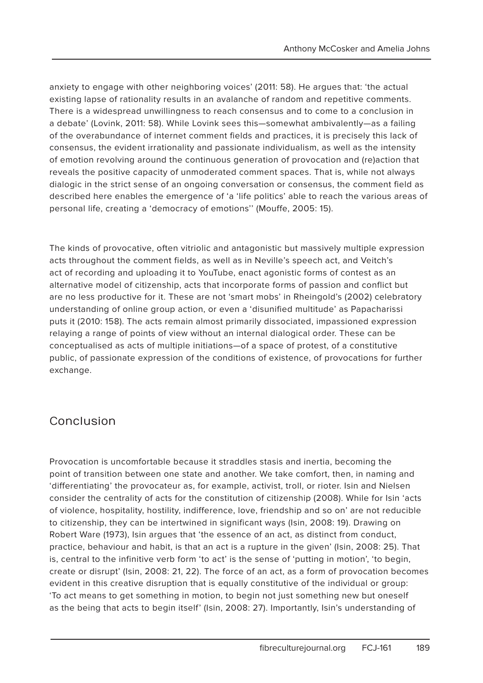anxiety to engage with other neighboring voices' (2011: 58). He argues that: 'the actual existing lapse of rationality results in an avalanche of random and repetitive comments. There is a widespread unwillingness to reach consensus and to come to a conclusion in a debate' (Lovink, 2011: 58). While Lovink sees this—somewhat ambivalently—as a failing of the overabundance of internet comment fields and practices, it is precisely this lack of consensus, the evident irrationality and passionate individualism, as well as the intensity of emotion revolving around the continuous generation of provocation and (re)action that reveals the positive capacity of unmoderated comment spaces. That is, while not always dialogic in the strict sense of an ongoing conversation or consensus, the comment field as described here enables the emergence of 'a 'life politics' able to reach the various areas of personal life, creating a 'democracy of emotions'' (Mouffe, 2005: 15).

The kinds of provocative, often vitriolic and antagonistic but massively multiple expression acts throughout the comment fields, as well as in Neville's speech act, and Veitch's act of recording and uploading it to YouTube, enact agonistic forms of contest as an alternative model of citizenship, acts that incorporate forms of passion and conflict but are no less productive for it. These are not 'smart mobs' in Rheingold's (2002) celebratory understanding of online group action, or even a 'disunified multitude' as Papacharissi puts it (2010: 158). The acts remain almost primarily dissociated, impassioned expression relaying a range of points of view without an internal dialogical order. These can be conceptualised as acts of multiple initiations—of a space of protest, of a constitutive public, of passionate expression of the conditions of existence, of provocations for further exchange.

#### Conclusion

Provocation is uncomfortable because it straddles stasis and inertia, becoming the point of transition between one state and another. We take comfort, then, in naming and 'differentiating' the provocateur as, for example, activist, troll, or rioter. Isin and Nielsen consider the centrality of acts for the constitution of citizenship (2008). While for Isin 'acts of violence, hospitality, hostility, indifference, love, friendship and so on' are not reducible to citizenship, they can be intertwined in significant ways (Isin, 2008: 19). Drawing on Robert Ware (1973), Isin argues that 'the essence of an act, as distinct from conduct, practice, behaviour and habit, is that an act is a rupture in the given' (Isin, 2008: 25). That is, central to the infinitive verb form 'to act' is the sense of 'putting in motion', 'to begin, create or disrupt' (Isin, 2008: 21, 22). The force of an act, as a form of provocation becomes evident in this creative disruption that is equally constitutive of the individual or group: 'To act means to get something in motion, to begin not just something new but oneself as the being that acts to begin itself' (Isin, 2008: 27). Importantly, Isin's understanding of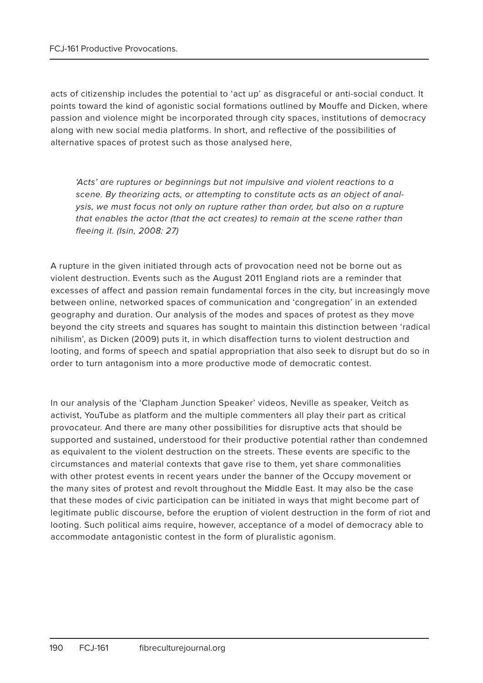acts of citizenship includes the potential to 'act up' as disgraceful or anti-social conduct. It points toward the kind of agonistic social formations outlined by Mouffe and Dicken, where passion and violence might be incorporated through city spaces, institutions of democracy along with new social media platforms. In short, and reflective of the possibilities of alternative spaces of protest such as those analysed here,

'Acts' are ruptures or beginnings but not impulsive and violent reactions to a scene. By theorizing acts, or attempting to constitute acts as an object of analysis, we must focus not only on rupture rather than order, but also on a rupture that enables the actor (that the act creates) to remain at the scene rather than fleeing it. (Isin, 2008: 27)

A rupture in the given initiated through acts of provocation need not be borne out as violent destruction. Events such as the August 2011 England riots are a reminder that excesses of affect and passion remain fundamental forces in the city, but increasingly move between online, networked spaces of communication and 'congregation' in an extended geography and duration. Our analysis of the modes and spaces of protest as they move beyond the city streets and squares has sought to maintain this distinction between 'radical nihilism', as Dicken (2009) puts it, in which disaffection turns to violent destruction and looting, and forms of speech and spatial appropriation that also seek to disrupt but do so in order to turn antagonism into a more productive mode of democratic contest.

In our analysis of the 'Clapham Junction Speaker' videos, Neville as speaker, Veitch as activist, YouTube as platform and the multiple commenters all play their part as critical provocateur. And there are many other possibilities for disruptive acts that should be supported and sustained, understood for their productive potential rather than condemned as equivalent to the violent destruction on the streets. These events are specific to the circumstances and material contexts that gave rise to them, yet share commonalities with other protest events in recent years under the banner of the Occupy movement or the many sites of protest and revolt throughout the Middle East. It may also be the case that these modes of civic participation can be initiated in ways that might become part of legitimate public discourse, before the eruption of violent destruction in the form of riot and looting. Such political aims require, however, acceptance of a model of democracy able to accommodate antagonistic contest in the form of pluralistic agonism.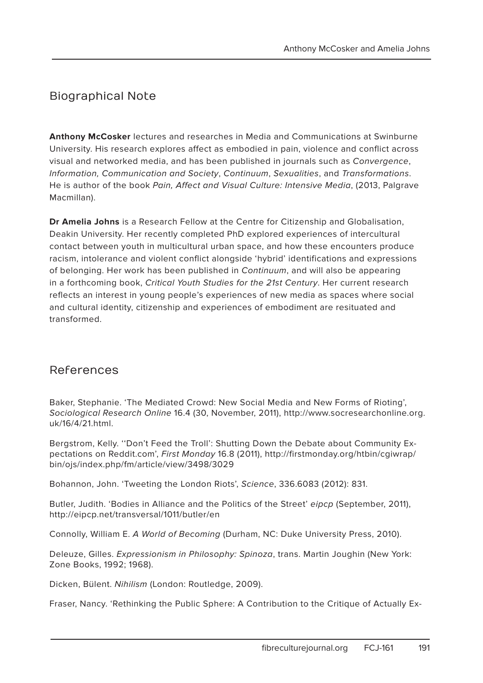#### Biographical Note

**Anthony McCosker** lectures and researches in Media and Communications at Swinburne University. His research explores affect as embodied in pain, violence and conflict across visual and networked media, and has been published in journals such as Convergence, Information, Communication and Society, Continuum, Sexualities, and Transformations. He is author of the book Pain, Affect and Visual Culture: Intensive Media, (2013, Palgrave Macmillan).

**Dr Amelia Johns** is a Research Fellow at the Centre for Citizenship and Globalisation, Deakin University. Her recently completed PhD explored experiences of intercultural contact between youth in multicultural urban space, and how these encounters produce racism, intolerance and violent conflict alongside 'hybrid' identifications and expressions of belonging. Her work has been published in Continuum, and will also be appearing in a forthcoming book, Critical Youth Studies for the 21st Century. Her current research reflects an interest in young people's experiences of new media as spaces where social and cultural identity, citizenship and experiences of embodiment are resituated and transformed.

#### References

Baker, Stephanie. 'The Mediated Crowd: New Social Media and New Forms of Rioting', Sociological Research Online 16.4 (30, November, 2011), http://www.socresearchonline.org. uk/16/4/21.html.

Bergstrom, Kelly. ''Don't Feed the Troll': Shutting Down the Debate about Community Expectations on Reddit.com', First Monday 16.8 (2011), http://firstmonday.org/htbin/cgiwrap/ bin/ojs/index.php/fm/article/view/3498/3029

Bohannon, John. 'Tweeting the London Riots', Science, 336.6083 (2012): 831.

Butler, Judith. 'Bodies in Alliance and the Politics of the Street' eipcp (September, 2011), http://eipcp.net/transversal/1011/butler/en

Connolly, William E. A World of Becoming (Durham, NC: Duke University Press, 2010).

Deleuze, Gilles. Expressionism in Philosophy: Spinoza, trans. Martin Joughin (New York: Zone Books, 1992; 1968).

Dicken, Bülent. Nihilism (London: Routledge, 2009).

Fraser, Nancy. 'Rethinking the Public Sphere: A Contribution to the Critique of Actually Ex-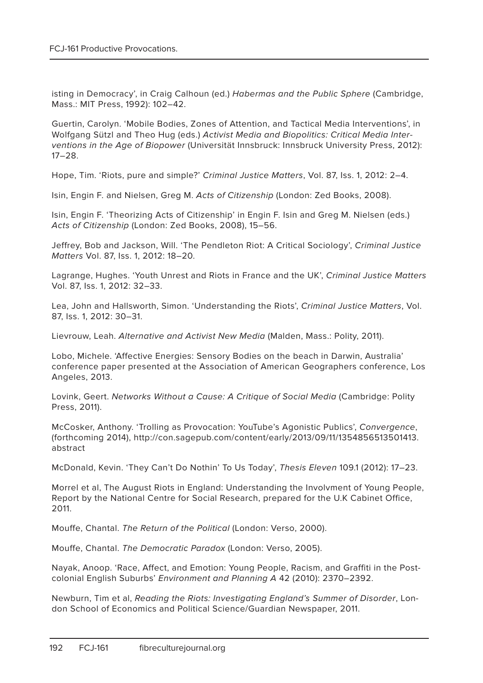isting in Democracy', in Craig Calhoun (ed.) Habermas and the Public Sphere (Cambridge, Mass.: MIT Press, 1992): 102–42.

Guertin, Carolyn. 'Mobile Bodies, Zones of Attention, and Tactical Media Interventions', in Wolfgang Sützl and Theo Hug (eds.) Activist Media and Biopolitics: Critical Media Interventions in the Age of Biopower (Universität Innsbruck: Innsbruck University Press, 2012): 17–28.

Hope, Tim. 'Riots, pure and simple?' Criminal Justice Matters, Vol. 87, Iss. 1, 2012: 2–4.

Isin, Engin F. and Nielsen, Greg M. Acts of Citizenship (London: Zed Books, 2008).

Isin, Engin F. 'Theorizing Acts of Citizenship' in Engin F. Isin and Greg M. Nielsen (eds.) Acts of Citizenship (London: Zed Books, 2008), 15–56.

Jeffrey, Bob and Jackson, Will. 'The Pendleton Riot: A Critical Sociology', Criminal Justice Matters Vol. 87, Iss. 1, 2012: 18–20.

Lagrange, Hughes. 'Youth Unrest and Riots in France and the UK', Criminal Justice Matters Vol. 87, Iss. 1, 2012: 32–33.

Lea, John and Hallsworth, Simon. 'Understanding the Riots', Criminal Justice Matters, Vol. 87, Iss. 1, 2012: 30–31.

Lievrouw, Leah. Alternative and Activist New Media (Malden, Mass.: Polity, 2011).

Lobo, Michele. 'Affective Energies: Sensory Bodies on the beach in Darwin, Australia' conference paper presented at the Association of American Geographers conference, Los Angeles, 2013.

Lovink, Geert. Networks Without a Cause: A Critique of Social Media (Cambridge: Polity Press, 2011).

McCosker, Anthony. 'Trolling as Provocation: YouTube's Agonistic Publics', Convergence, (forthcoming 2014), http://con.sagepub.com/content/early/2013/09/11/1354856513501413. abstract

McDonald, Kevin. 'They Can't Do Nothin' To Us Today', Thesis Eleven 109.1 (2012): 17–23.

Morrel et al, The August Riots in England: Understanding the Involvment of Young People, Report by the National Centre for Social Research, prepared for the U.K Cabinet Office, 2011.

Mouffe, Chantal. The Return of the Political (London: Verso, 2000).

Mouffe, Chantal. The Democratic Paradox (London: Verso, 2005).

Nayak, Anoop. 'Race, Affect, and Emotion: Young People, Racism, and Graffiti in the Postcolonial English Suburbs' Environment and Planning A 42 (2010): 2370–2392.

Newburn, Tim et al, Reading the Riots: Investigating England's Summer of Disorder, London School of Economics and Political Science/Guardian Newspaper, 2011.